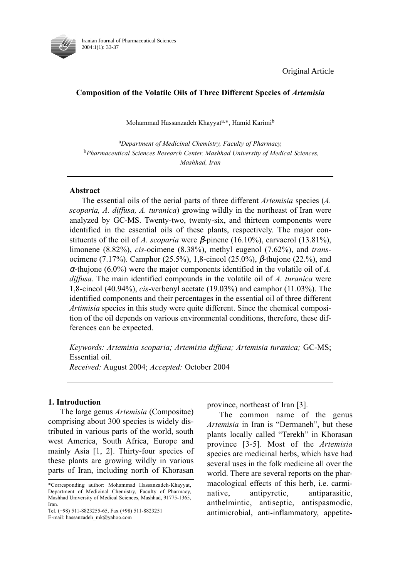

Original Article

# Composition of the Volatile Oils of Three Different Species of Artemisia

Mohammad Hassanzadeh Khayyat<sup>a,\*</sup>, Hamid Karimi<sup>b</sup>

<sup>a</sup>Department of Medicinal Chemistry, Faculty of Pharmacy, <sup>b</sup>Pharmaceutical Sciences Research Center, Mashhad University of Medical Sciences, Mashhad, Iran

# Abstract

The essential oils of the aerial parts of three different *Artemisia* species (A. scoparia, A. diffusa, A. turanica) growing wildly in the northeast of Iran were analyzed by GC-MS. Twenty-two, twenty-six, and thirteen components were identified in the essential oils of these plants, respectively. The major constituents of the oil of A. scoparia were  $\beta$ -pinene (16.10%), carvacrol (13.81%), limonene (8.82%), cis-ocimene (8.38%), methyl eugenol (7.62%), and transocimene (7.17%). Camphor (25.5%), 1,8-cineol (25.0%), β-thujone (22.%), and  $\alpha$ -thujone (6.0%) were the major components identified in the volatile oil of A. diffusa. The main identified compounds in the volatile oil of A. turanica were 1,8-cineol (40.94%), cis-verbenyl acetate (19.03%) and camphor (11.03%). The identified components and their percentages in the essential oil of three different Artimisia species in this study were quite different. Since the chemical composition of the oil depends on various environmental conditions, therefore, these differences can be expected.

Keywords: Artemisia scoparia; Artemisia diffusa; Artemisia turanica; GC-MS; Essential oil.

Received: August 2004; Accepted: October 2004

## 1. Introduction

The large genus Artemisia (Compositae) comprising about 300 species is widely distributed in various parts of the world, south west America, South Africa, Europe and mainly Asia [1, 2]. Thirty-four species of these plants are growing wildly in various parts of Iran, including north of Khorasan

Tel. (+98) 511-8823255-65, Fax (+98) 511-8823251 E-mail: hassanzadeh\_mk@yahoo.com

province, northeast of Iran [3].

The common name of the genus Artemisia in Iran is "Dermaneh", but these plants locally called "Terekh" in Khorasan province [3-5]. Most of the Artemisia species are medicinal herbs, which have had several uses in the folk medicine all over the world. There are several reports on the pharmacological effects of this herb, i.e. carminative, antipyretic, antiparasitic, anthelmintic, antiseptic, antispasmodic, antimicrobial, anti-inflammatory, appetite-

<sup>\*</sup>Corresponding author: Mohammad Hassanzadeh-Khayyat, Department of Medicinal Chemistry, Faculty of Pharmacy, Mashhad University of Medical Sciences, Mashhad, 91775-1365, Iran.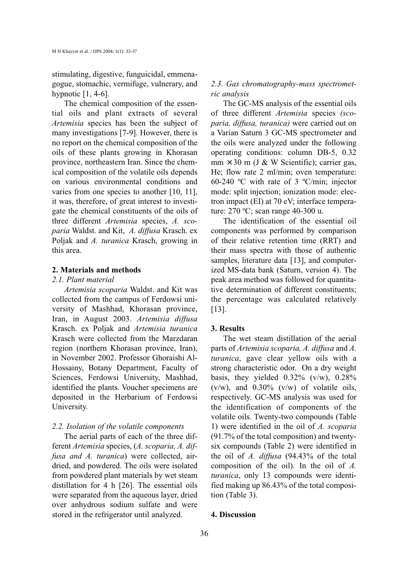stimulating, digestive, funguicidal, emmenagogue, stomachic, vermifuge, vulnerary, and hypnotic  $[1, 4-6]$ .

The chemical composition of the essential oils and plant extracts of several Artemisia species has been the subject of many investigations [7-9]. However, there is no report on the chemical composition of the oils of these plants growing in Khorasan province, northeastern Iran. Since the chemical composition of the volatile oils depends on various environmental conditions and varies from one species to another [10, 11], it was, therefore, of great interest to investigate the chemical constituents of the oils of three different Artemisia species, A. scoparia Waldst. and Kit, A. diffusa Krasch. ex Poljak and A. turanica Krasch, growing in this area.

## 2. Materials and methods

#### 2.1. Plant material

Artemisia scoparia Waldst. and Kit was collected from the campus of Ferdowsi university of Mashhad, Khorasan province, Iran, in August 2003. Artemisia diffusa Krasch. ex Poljak and Artemisia turanica Krasch were collected from the Marzdaran region (northern Khorasan province, Iran), in November 2002. Professor Ghoraishi Al-Hossainy, Botany Department, Faculty of Sciences, Ferdowsi University, Mashhad, identified the plants. Voucher specimens are deposited in the Herbarium of Ferdowsi University.

### 2.2. Isolation of the volatile components

The aerial parts of each of the three different Artemisia species, (A. scoparia, A. diffusa and A. turanica) were collected, airdried, and powdered. The oils were isolated from powdered plant materials by wet steam distillation for 4 h [26]. The essential oils were separated from the aqueous layer, dried over anhydrous sodium sulfate and were stored in the refrigerator until analyzed.

# 2.3. Gas chromatography-mass spectrometric analysis

The GC-MS analysis of the essential oils of three different Artemisia species (scoparia, diffusa, turanica) were carried out on a Varian Saturn 3 GC-MS spectrometer and the oils were analyzed under the following operating conditions: column DB-5, 0.32  $mm \times 30$  m (J & W Scientific); carrier gas, He; flow rate 2 ml/min; oven temperature: 60-240 ºC with rate of 3 ºC/min; injector mode: split injection; ionization mode: electron impact (EI) at 70 eV; interface temperature: 270 ºC; scan range 40-300 u.

The identification of the essential oil components was performed by comparison of their relative retention time (RRT) and their mass spectra with those of authentic samples, literature data [13], and computerized MS-data bank (Saturn, version 4). The peak area method was followed for quantitative determination of different constituents; the percentage was calculated relatively [13].

### 3. Results

The wet steam distillation of the aerial parts of Artemisia scoparia, A. diffusa and A. turanica, gave clear yellow oils with a strong characteristic odor. On a dry weight basis, they yielded  $0.32\%$  (v/w),  $0.28\%$  $(v/w)$ , and 0.30%  $(v/w)$  of volatile oils, respectively. GC-MS analysis was used for the identification of components of the volatile oils. Twenty-two compounds (Table 1) were identified in the oil of A. scoparia (91.7% of the total composition) and twentysix compounds (Table 2) were identified in the oil of A. diffusa (94.43% of the total composition of the oil). In the oil of A. turanica, only 13 compounds were identified making up 86.43% of the total composition (Table 3).

## 4. Discussion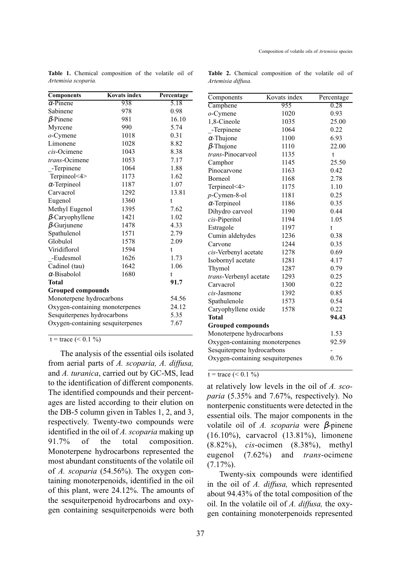| <b>Components</b>                | <b>Kovats index</b> | Percentage |
|----------------------------------|---------------------|------------|
| $\alpha$ -Pinene                 | 938                 | 5.18       |
| Sabinene                         | 978                 | 0.98       |
| $\beta$ -Pinene                  | 981                 | 16.10      |
| Myrcene                          | 990                 | 5.74       |
| $o$ -Cymene                      | 1018                | 0.31       |
| Limonene                         | 1028                | 8.82       |
| cis-Ocimene                      | 1043                | 8.38       |
| trans-Ocimene                    | 1053                | 7.17       |
| -Terpinene                       | 1064                | 1.88       |
| Terpineol<4>                     | 1173                | 1.62       |
| $\alpha$ -Terpineol              | 1187                | 1.07       |
| Carvacrol                        | 1292                | 13.81      |
| Eugenol                          | 1360                | t          |
| Methyl Eugenol                   | 1395                | 7.62       |
| $\beta$ -Caryophyllene           | 1421                | 1.02       |
| $\beta$ -Gurjunene               | 1478                | 4.33       |
| Spathulenol                      | 1571                | 2.79       |
| Globulol                         | 1578                | 2.09       |
| Viridiflorol                     | 1594                | t          |
| -Eudesmol                        | 1626                | 1.73       |
| Cadinol (tau)                    | 1642                | 1.06       |
| $\alpha$ -Bisabolol              | 1680                | t          |
| <b>Total</b>                     |                     | 91.7       |
| <b>Grouped compounds</b>         |                     |            |
| Monoterpene hydrocarbons         |                     | 54.56      |
| Oxygen-containing monoterpenes   |                     | 24.12      |
| Sesquiterpenes hydrocarbons      |                     | 5.35       |
| Oxygen-containing sesquiterpenes | 7.67                |            |

Table 1. Chemical composition of the volatile oil of Artemisia scoparia.

Table 2. Chemical composition of the volatile oil of Artemisia diffusa.

 $t = \text{trace } (\leq 0.1 \%)$ 

The analysis of the essential oils isolated from aerial parts of A. scoparia, A. diffusa, and A. turanica, carried out by GC-MS, lead to the identification of different components. The identified compounds and their percentages are listed according to their elution on the DB-5 column given in Tables 1, 2, and 3, respectively. Twenty-two compounds were identified in the oil of A. scoparia making up 91.7% of the total composition. Monoterpene hydrocarbons represented the most abundant constituents of the volatile oil of A. scoparia (54.56%). The oxygen containing monoterpenoids, identified in the oil of this plant, were 24.12%. The amounts of the sesquiterpenoid hydrocarbons and oxygen containing sesquiterpenoids were both

| Components                       | Kovats index | Percentage |
|----------------------------------|--------------|------------|
| Camphene                         | 955          | 0.28       |
| $o$ -Cymene                      | 1020         | 0.93       |
| 1,8-Cineole                      | 1035         | 25.00      |
| -Terpinene                       | 1064         | 0.22       |
| $\alpha$ -Thujone                | 1100         | 6.93       |
| $\beta$ -Thujone                 | 1110         | 22.00      |
| trans-Pinocarveol                | 1135         | t          |
| Camphor                          | 1145         | 25.50      |
| Pinocarvone                      | 1163         | 0.42       |
| Borneol                          | 1168         | 2.78       |
| Terpineol<4>                     | 1175         | 1.10       |
| $p$ -Cymen-8-ol                  | 1181         | 0.25       |
| $\alpha$ -Terpineol              | 1186         | 0.35       |
| Dihydro carveol                  | 1190         | 0.44       |
| cis-Piperitol                    | 1194         | 1.05       |
| Estragole                        | 1197         | t.         |
| Cumin aldehydes                  | 1236         | 0.38       |
| Carvone                          | 1244         | 0.35       |
| cis-Verbenyl acetate             | 1278         | 0.69       |
| Isobornyl acetate                | 1281         | 4.17       |
| Thymol                           | 1287         | 0.79       |
| trans-Verbenyl acetate           | 1293         | 0.25       |
| Carvacrol                        | 1300         | 0.22       |
| cis-Jasmone                      | 1392         | 0.85       |
| Spathulenole                     | 1573         | 0.54       |
| Caryophyllene oxide              | 1578         | 0.22       |
| Total                            |              | 94.43      |
| <b>Grouped compounds</b>         |              |            |
| Monoterpene hydrocarbons         |              | 1.53       |
| Oxygen-containing monoterpenes   |              | 92.59      |
| Sesquiterpene hydrocarbons       |              |            |
| Oxygen-containing sesquiterpenes |              | 0.76       |

 $t = \text{trace } (< 0.1 \%$ 

at relatively low levels in the oil of A. scoparia (5.35% and 7.67%, respectively). No nonterpenic constituents were detected in the essential oils. The major components in the volatile oil of A. scoparia were  $\beta$ -pinene (16.10%), carvacrol (13.81%), limonene (8.82%), cis-ocimen (8.38%), methyl eugenol (7.62%) and trans-ocimene  $(7.17\%)$ .

Twenty-six compounds were identified in the oil of A. diffusa, which represented about 94.43% of the total composition of the oil. In the volatile oil of  $A$ . diffusa, the oxygen containing monoterpenoids represented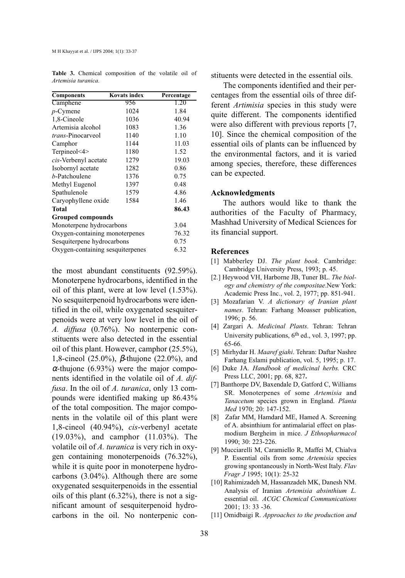| <b>Components</b>                | <b>Kovats index</b> | Percentage |
|----------------------------------|---------------------|------------|
| Camphene                         | 956                 | 1.20       |
| $p$ -Cymene                      | 1024                | 1.84       |
| 1,8-Cineole                      | 1036                | 40.94      |
| Artemisia alcohol                | 1083                | 1.36       |
| trans-Pinocarveol                | 1140                | 1.10       |
| Camphor                          | 1144                | 11.03      |
| Terpineol<4>                     | 1180                | 1.52       |
| cis-Verbenyl acetate             | 1279                | 19.03      |
| Isobornyl acetate                | 1282                | 0.86       |
| b-Patchoulene                    | 1376                | 0.75       |
| Methyl Eugenol                   | 1397                | 0.48       |
| Spathulenole                     | 1579                | 4.86       |
| Caryophyllene oxide              | 1584                | 1.46       |
| Total                            |                     | 86.43      |
| Grouped compounds                |                     |            |
| Monoterpene hydrocarbons         |                     | 3.04       |
| Oxygen-containing monoterpenes   |                     | 76.32      |
| Sesquiterpene hydrocarbons       |                     | 0.75       |
| Oxygen-containing sesquiterpenes |                     | 6.32       |

Table 3. Chemical composition of the volatile oil of Artemisia turanica.

the most abundant constituents (92.59%). Monoterpene hydrocarbons, identified in the oil of this plant, were at low level (1.53%). No sesquiterpenoid hydrocarbons were identified in the oil, while oxygenated sesquiterpenoids were at very low level in the oil of A. diffusa (0.76%). No nonterpenic constituents were also detected in the essential oil of this plant. However, camphor (25.5%), 1,8-cineol (25.0%), β-thujone (22.0%), and  $\alpha$ -thujone (6.93%) were the major components identified in the volatile oil of A. diffusa. In the oil of A. turanica, only 13 compounds were identified making up 86.43% of the total composition. The major components in the volatile oil of this plant were 1,8-cineol (40.94%), cis-verbenyl acetate (19.03%), and camphor (11.03%). The volatile oil of A. turanica is very rich in oxygen containing monoterpenoids (76.32%), while it is quite poor in monoterpene hydrocarbons (3.04%). Although there are some oxygenated sesquiterpenoids in the essential oils of this plant (6.32%), there is not a significant amount of sesquiterpenoid hydrocarbons in the oil. No nonterpenic constituents were detected in the essential oils.

The components identified and their percentages from the essential oils of three different Artimisia species in this study were quite different. The components identified were also different with previous reports [7, 10]. Since the chemical composition of the essential oils of plants can be influenced by the environmental factors, and it is varied among species, therefore, these differences can be expected.

### Acknowledgments

The authors would like to thank the authorities of the Faculty of Pharmacy, Mashhad University of Medical Sciences for its financial support.

#### References

- [1] Mabberley DJ. The plant book. Cambridge: Cambridge University Press, 1993; p. 45.
- [2.] Heywood VH, Harborne JB, Tuner BL. The biology and chemistry of the compositae.New York: Academic Press Inc., vol. 2, 1977; pp. 851-941.
- [3] Mozafarian V. A dictionary of Iranian plant names. Tehran: Farhang Moasser publication, 1996; p. 56.
- [4] Zargari A. Medicinal Plants. Tehran: Tehran University publications,  $6<sup>th</sup>$  ed., vol. 3, 1997; pp. 65-66.
- [5] Mirhydar H. Maaref giahi. Tehran: Daftar Nashre Farhang Eslami publication, vol. 5, 1995; p. 17.
- [6] Duke JA. Handbook of medicinal herbs. CRC Press LLC, 2001; pp. 68, 827.
- [7] Banthorpe DV, Baxendale D, Gatford C, Williams SR. Monoterpenes of some Artemisia and Tanacetum species grown in England. Planta Med 1970; 20: 147-152.
- [8] Zafar MM, Hamdard ME, Hamed A. Screening of A. absinthium for antimalarial effect on plasmodium Bergheim in mice. J Ethnopharmacol 1990; 30: 223-226.
- [9] Mucciarelli M, Caramiello R, Maffei M, Chialva P. Essential oils from some Artemisia species growing spontaneously in North-West Italy. Flav Fragr J 1995; 10(1): 25-32
- [10] Rahimizadeh M, Hassanzadeh MK, Danesh NM. Analysis of Iranian Artemisia absinthium L. essential oil. ACGC Chemical Communications 2001; 13: 33 -36.
- [11] Omidbaigi R. Approaches to the production and